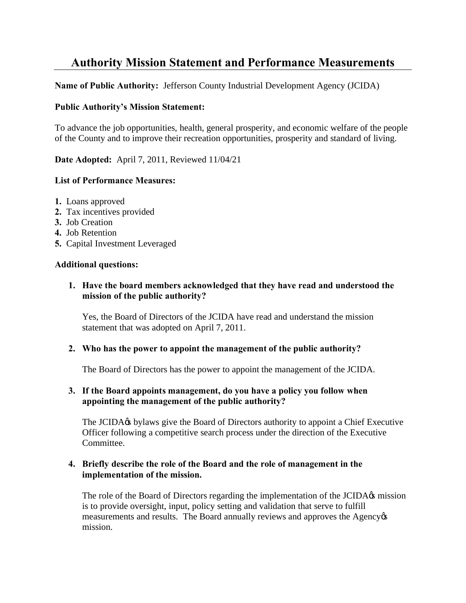# **Authority Mission Statement and Performance Measurements**

**Name of Public Authority:** Jefferson County Industrial Development Agency (JCIDA)

#### **Public Authority's Mission Statement:**

To advance the job opportunities, health, general prosperity, and economic welfare of the people of the County and to improve their recreation opportunities, prosperity and standard of living.

**Date Adopted:** April 7, 2011, Reviewed 11/04/21

### **List of Performance Measures:**

- **1.** Loans approved
- **2.** Tax incentives provided
- **3.** Job Creation
- **4.** Job Retention
- **5.** Capital Investment Leveraged

#### **Additional questions:**

**1. Have the board members acknowledged that they have read and understood the mission of the public authority?** 

Yes, the Board of Directors of the JCIDA have read and understand the mission statement that was adopted on April 7, 2011.

#### **2. Who has the power to appoint the management of the public authority?**

The Board of Directors has the power to appoint the management of the JCIDA.

## **3. If the Board appoints management, do you have a policy you follow when appointing the management of the public authority?**

The JCIDA<sub>%</sub> bylaws give the Board of Directors authority to appoint a Chief Executive Officer following a competitive search process under the direction of the Executive Committee.

#### **4. Briefly describe the role of the Board and the role of management in the implementation of the mission.**

The role of the Board of Directors regarding the implementation of the JCIDA $\alpha$  mission is to provide oversight, input, policy setting and validation that serve to fulfill measurements and results. The Board annually reviews and approves the Agency  $\alpha$ mission.